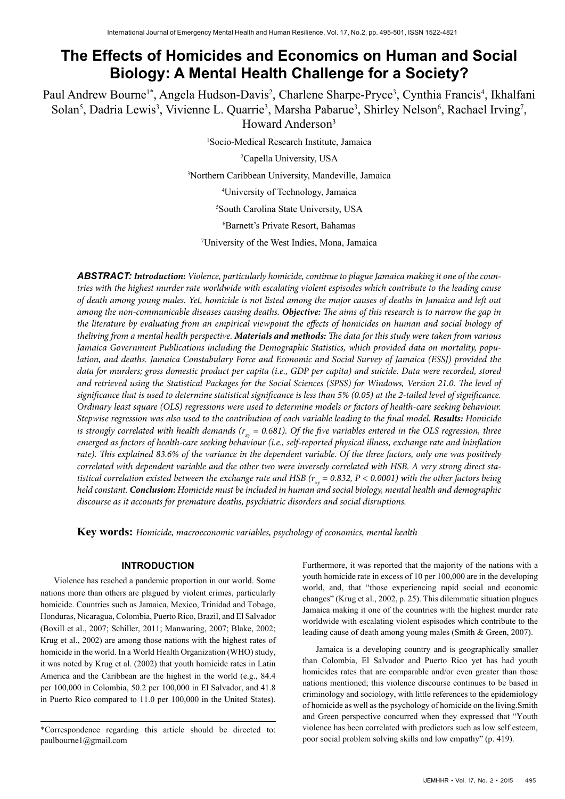# **The Effects of Homicides and Economics on Human and Social Biology: A Mental Health Challenge for a Society?**

Paul Andrew Bourne<sup>1\*</sup>, Angela Hudson-Davis<sup>2</sup>, Charlene Sharpe-Pryce<sup>3</sup>, Cynthia Francis<sup>4</sup>, Ikhalfani Solan<sup>5</sup>, Dadria Lewis<sup>3</sup>, Vivienne L. Quarrie<sup>3</sup>, Marsha Pabarue<sup>3</sup>, Shirley Nelson<sup>6</sup>, Rachael Irving<sup>7</sup>,

Howard Anderson3

1 Socio-Medical Research Institute, Jamaica

2 Capella University, USA

3 Northern Caribbean University, Mandeville, Jamaica

4 University of Technology, Jamaica

5 South Carolina State University, USA

6 Barnett's Private Resort, Bahamas

7 University of the West Indies, Mona, Jamaica

*ABSTRACT: Introduction: Violence, particularly homicide, continue to plague Jamaica making it one of the countries with the highest murder rate worldwide with escalating violent espisodes which contribute to the leading cause of death among young males. Yet, homicide is not listed among the major causes of deaths in Jamaica and left out among the non-communicable diseases causing deaths. Objective: The aims of this research is to narrow the gap in the literature by evaluating from an empirical viewpoint the effects of homicides on human and social biology of theliving from a mental health perspective. Materials and methods: The data for this study were taken from various Jamaica Government Publications including the Demographic Statistics, which provided data on mortality, population, and deaths. Jamaica Constabulary Force and Economic and Social Survey of Jamaica (ESSJ) provided the*  data for murders; gross domestic product per capita (i.e., GDP per capita) and suicide. Data were recorded, stored *and retrieved using the Statistical Packages for the Social Sciences (SPSS) for Windows, Version 21.0. The level of significance that is used to determine statistical significance is less than 5% (0.05) at the 2-tailed level of significance. Ordinary least square (OLS) regressions were used to determine models or factors of health-care seeking behaviour. Stepwise regression was also used to the contribution of each variable leading to the final model. Results: Homicide is strongly correlated with health demands (* $r_{xy}$  *= 0.681). Of the five variables entered in the OLS regression, three emerged as factors of health-care seeking behaviour (i.e., self-reported physical illness, exchange rate and lninflation*  rate). This explained 83.6% of the variance in the dependent variable. Of the three factors, only one was positively *correlated with dependent variable and the other two were inversely correlated with HSB. A very strong direct statistical correlation existed between the exchange rate and HSB (* $r_{xy}$  *= 0.832, P < 0.0001) with the other factors being held constant. Conclusion: Homicide must be included in human and social biology, mental health and demographic discourse as it accounts for premature deaths, psychiatric disorders and social disruptions.*

**Key words:** *Homicide, macroeconomic variables, psychology of economics, mental health*

# **INTRODUCTION**

Violence has reached a pandemic proportion in our world. Some nations more than others are plagued by violent crimes, particularly homicide. Countries such as Jamaica, Mexico, Trinidad and Tobago, Honduras, Nicaragua, Colombia, Puerto Rico, Brazil, and El Salvador (Boxill et al., 2007; Schiller, 2011; Manwaring, 2007; Blake, 2002; Krug et al., 2002) are among those nations with the highest rates of homicide in the world. In a World Health Organization (WHO) study, it was noted by Krug et al. (2002) that youth homicide rates in Latin America and the Caribbean are the highest in the world (e.g., 84.4 per 100,000 in Colombia, 50.2 per 100,000 in El Salvador, and 41.8 in Puerto Rico compared to 11.0 per 100,000 in the United States). Furthermore, it was reported that the majority of the nations with a youth homicide rate in excess of 10 per 100,000 are in the developing world, and, that "those experiencing rapid social and economic changes" (Krug et al., 2002, p. 25). This dilemmatic situation plagues Jamaica making it one of the countries with the highest murder rate worldwide with escalating violent espisodes which contribute to the leading cause of death among young males (Smith & Green, 2007).

Jamaica is a developing country and is geographically smaller than Colombia, El Salvador and Puerto Rico yet has had youth homicides rates that are comparable and/or even greater than those nations mentioned; this violence discourse continues to be based in criminology and sociology, with little references to the epidemiology of homicide as well as the psychology of homicide on the living.Smith and Green perspective concurred when they expressed that "Youth violence has been correlated with predictors such as low self esteem, poor social problem solving skills and low empathy" (p. 419).

<sup>\*</sup>Correspondence regarding this article should be directed to: paulbourne1@gmail.com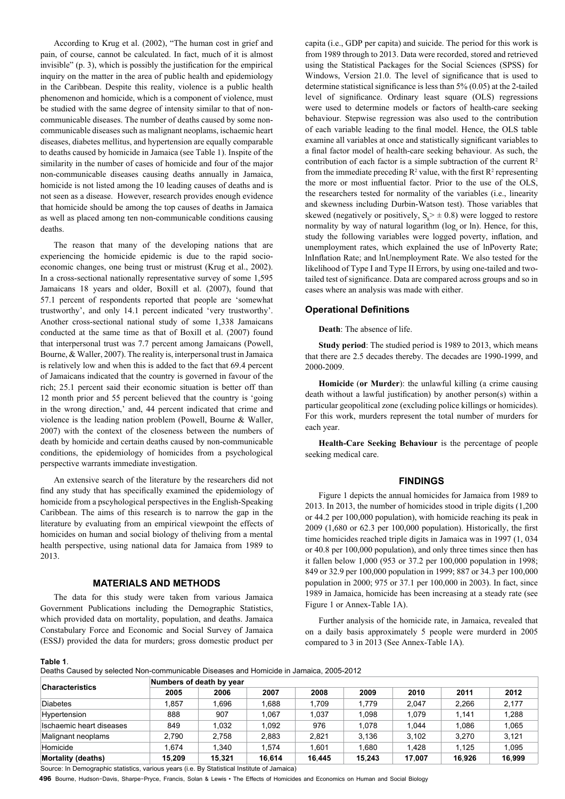According to Krug et al. (2002), "The human cost in grief and pain, of course, cannot be calculated. In fact, much of it is almost invisible" (p. 3), which is possibly the justification for the empirical inquiry on the matter in the area of public health and epidemiology in the Caribbean. Despite this reality, violence is a public health phenomenon and homicide, which is a component of violence, must be studied with the same degree of intensity similar to that of noncommunicable diseases. The number of deaths caused by some noncommunicable diseases such as malignant neoplams, ischaemic heart diseases, diabetes mellitus, and hypertension are equally comparable to deaths caused by homicide in Jamaica (see Table 1). Inspite of the similarity in the number of cases of homicide and four of the major non-communicable diseases causing deaths annually in Jamaica, homicide is not listed among the 10 leading causes of deaths and is not seen as a disease. However, research provides enough evidence that homicide should be among the top causes of deaths in Jamaica as well as placed among ten non-communicable conditions causing deaths.

The reason that many of the developing nations that are experiencing the homicide epidemic is due to the rapid socioeconomic changes, one being trust or mistrust (Krug et al., 2002). In a cross-sectional nationally representative survey of some 1,595 Jamaicans 18 years and older, Boxill et al. (2007), found that 57.1 percent of respondents reported that people are 'somewhat trustworthy', and only 14.1 percent indicated 'very trustworthy'. Another cross-sectional national study of some 1,338 Jamaicans conducted at the same time as that of Boxill et al. (2007) found that interpersonal trust was 7.7 percent among Jamaicans (Powell, Bourne, & Waller, 2007). The reality is, interpersonal trust in Jamaica is relatively low and when this is added to the fact that 69.4 percent of Jamaicans indicated that the country is governed in favour of the rich; 25.1 percent said their economic situation is better off than 12 month prior and 55 percent believed that the country is 'going in the wrong direction,' and, 44 percent indicated that crime and violence is the leading nation problem (Powell, Bourne & Waller, 2007) with the context of the closeness between the numbers of death by homicide and certain deaths caused by non-communicable conditions, the epidemiology of homicides from a psychological perspective warrants immediate investigation.

An extensive search of the literature by the researchers did not find any study that has specifically examined the epidemiology of homicide from a pscyhological perspectives in the English-Speaking Caribbean. The aims of this research is to narrow the gap in the literature by evaluating from an empirical viewpoint the effects of homicides on human and social biology of theliving from a mental health perspective, using national data for Jamaica from 1989 to 2013.

## **MATERIALS AND METHODS**

The data for this study were taken from various Jamaica Government Publications including the Demographic Statistics, which provided data on mortality, population, and deaths. Jamaica Constabulary Force and Economic and Social Survey of Jamaica (ESSJ) provided the data for murders; gross domestic product per

capita (i.e., GDP per capita) and suicide. The period for this work is from 1989 through to 2013. Data were recorded, stored and retrieved using the Statistical Packages for the Social Sciences (SPSS) for Windows, Version 21.0. The level of significance that is used to determine statistical significance is less than 5% (0.05) at the 2-tailed level of significance. Ordinary least square (OLS) regressions were used to determine models or factors of health-care seeking behaviour. Stepwise regression was also used to the contribution of each variable leading to the final model. Hence, the OLS table examine all variables at once and statistically significant variables to a final factor model of health-care seeking behaviour. As such, the contribution of each factor is a simple subtraction of the current  $\mathbb{R}^2$ from the immediate preceding  $\mathbb{R}^2$  value, with the first  $\mathbb{R}^2$  representing the more or most influential factor. Prior to the use of the OLS, the researchers tested for normality of the variables (i.e., linearity and skewness including Durbin-Watson test). Those variables that skewed (negatively or positively,  $S_k \geq \pm 0.8$ ) were logged to restore normality by way of natural logarithm (log or ln). Hence, for this, study the following variables were logged poverty, inflation, and unemployment rates, which explained the use of lnPoverty Rate; lnInflation Rate; and lnUnemployment Rate. We also tested for the likelihood of Type I and Type II Errors, by using one-tailed and twotailed test of significance. Data are compared across groups and so in cases where an analysis was made with either.

## **Operational Definitions**

**Death**: The absence of life.

**Study period**: The studied period is 1989 to 2013, which means that there are 2.5 decades thereby. The decades are 1990-1999, and 2000-2009.

**Homicide** (**or Murder**): the unlawful killing (a crime causing death without a lawful justification) by another person(s) within a particular geopolitical zone (excluding police killings or homicides). For this work, murders represent the total number of murders for each year.

**Health-Care Seeking Behaviour** is the percentage of people seeking medical care.

## **FINDINGS**

Figure 1 depicts the annual homicides for Jamaica from 1989 to 2013. In 2013, the number of homicides stood in triple digits (1,200 or 44.2 per 100,000 population), with homicide reaching its peak in 2009 (1,680 or 62.3 per 100,000 population). Historically, the first time homicides reached triple digits in Jamaica was in 1997 (1, 034 or 40.8 per 100,000 population), and only three times since then has it fallen below 1,000 (953 or 37.2 per 100,000 population in 1998; 849 or 32.9 per 100,000 population in 1999; 887 or 34.3 per 100,000 population in 2000; 975 or 37.1 per 100,000 in 2003). In fact, since 1989 in Jamaica, homicide has been increasing at a steady rate (see Figure 1 or Annex-Table 1A).

Further analysis of the homicide rate, in Jamaica, revealed that on a daily basis approximately 5 people were murderd in 2005 compared to 3 in 2013 (See Annex-Table 1A).

**Table 1**.

Deaths Caused by selected Non-communicable Diseases and Homicide in Jamaica, 2005-2012

| <b>Characteristics</b>    | Numbers of death by year |        |        |        |        |        |        |        |  |
|---------------------------|--------------------------|--------|--------|--------|--------|--------|--------|--------|--|
|                           | 2005                     | 2006   | 2007   | 2008   | 2009   | 2010   | 2011   | 2012   |  |
| <b>Diabetes</b>           | 1.857                    | .696   | 886.1  | 1.709  | 1.779  | 2.047  | 2.266  | 2,177  |  |
| Hypertension              | 888                      | 907    | 1.067  | 1.037  | 1.098  | 1.079  | 1.141  | 1,288  |  |
| Ischaemic heart diseases  | 849                      | .032   | 1.092  | 976    | 1.078  | 1.044  | 1.086  | 1,065  |  |
| Malignant neoplams        | 2.790                    | 2.758  | 2.883  | 2.821  | 3.136  | 3.102  | 3.270  | 3.121  |  |
| Homicide                  | 1.674                    | .340   | 1.574  | 1.601  | 1.680  | 1.428  | 1.125  | 1,095  |  |
| <b>Mortality (deaths)</b> | 15.209                   | 15.321 | 16.614 | 16.445 | 15.243 | 17.007 | 16.926 | 16.999 |  |

Source: In Demographic statistics, various years (i.e. By Statistical Institute of Jamaica)

**496** Bourne, Hudson-Davis, Sharpe-Pryce, Francis, Solan & Lewis • The Effects of Homicides and Economics on Human and Social Biology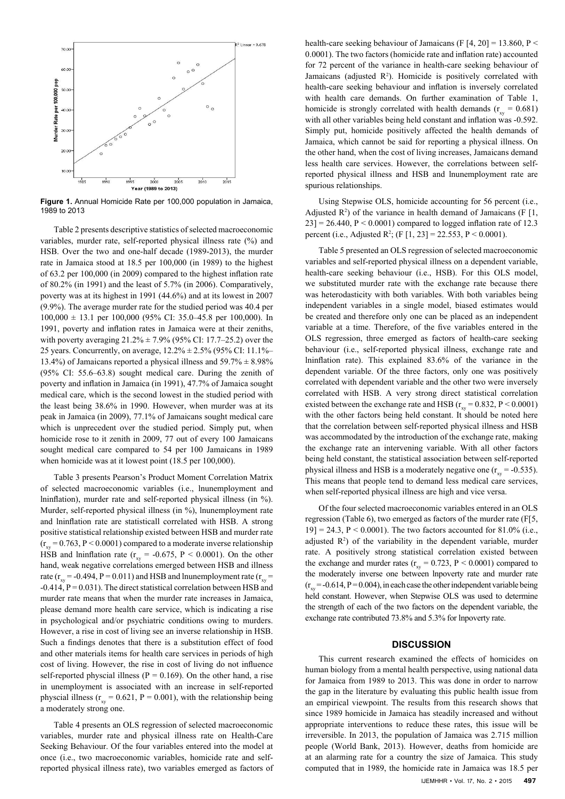

**Figure 1.** Annual Homicide Rate per 100,000 population in Jamaica, 1989 to 2013

Table 2 presents descriptive statistics of selected macroeconomic variables, murder rate, self-reported physical illness rate (%) and HSB. Over the two and one-half decade (1989-2013), the murder rate in Jamaica stood at 18.5 per 100,000 (in 1989) to the highest of 63.2 per 100,000 (in 2009) compared to the highest inflation rate of 80.2% (in 1991) and the least of 5.7% (in 2006). Comparatively, poverty was at its highest in 1991 (44.6%) and at its lowest in 2007 (9.9%). The average murder rate for the studied period was 40.4 per  $100,000 \pm 13.1$  per 100,000 (95% CI: 35.0–45.8 per 100,000). In 1991, poverty and inflation rates in Jamaica were at their zeniths, with poverty averaging  $21.2\% \pm 7.9\%$  (95% CI: 17.7–25.2) over the 25 years. Concurrently, on average, 12.2% ± 2.5% (95% CI: 11.1%– 13.4%) of Jamaicans reported a physical illness and  $59.7\% \pm 8.98\%$ (95% CI: 55.6–63.8) sought medical care. During the zenith of poverty and inflation in Jamaica (in 1991), 47.7% of Jamaica sought medical care, which is the second lowest in the studied period with the least being 38.6% in 1990. However, when murder was at its peak in Jamaica (in 2009), 77.1% of Jamaicans sought medical care which is unprecedent over the studied period. Simply put, when homicide rose to it zenith in 2009, 77 out of every 100 Jamaicans sought medical care compared to 54 per 100 Jamaicans in 1989 when homicide was at it lowest point (18.5 per 100,000).

Table 3 presents Pearson's Product Moment Correlation Matrix of selected macroeconomic variables (i.e., lnunemployment and lninflation), murder rate and self-reported physical illness (in %). Murder, self-reported physical illness (in %), lnunemployment rate and lninflation rate are statisticall correlated with HSB. A strong positive statistical relationship existed between HSB and murder rate  $(r_{xy} = 0.763, P \le 0.0001)$  compared to a moderate inverse relationship HSB and lninflation rate ( $r_{\text{xy}}$  = -0.675, P < 0.0001). On the other hand, weak negative correlations emerged between HSB and illness rate ( $r_{\text{av}}$  = -0.494, P = 0.011) and HSB and lnunemployment rate ( $r_{\text{av}}$ )  $-0.414$ ,  $P = 0.031$ ). The direct statistical correlation between HSB and murder rate means that when the murder rate increases in Jamaica, please demand more health care service, which is indicating a rise in psychological and/or psychiatric conditions owing to murders. However, a rise in cost of living see an inverse relationship in HSB. Such a findings denotes that there is a substitution effect of food and other materials items for health care services in periods of high cost of living. However, the rise in cost of living do not influence self-reported physcial illness ( $P = 0.169$ ). On the other hand, a rise in unemployment is associated with an increase in self-reported physcial illness ( $r_{xy} = 0.621$ ,  $P = 0.001$ ), with the relationship being a moderately strong one.

Table 4 presents an OLS regression of selected macroeconomic variables, murder rate and physical illness rate on Health-Care Seeking Behaviour. Of the four variables entered into the model at once (i.e., two macroeconomic variables, homicide rate and selfreported physical illness rate), two variables emerged as factors of health-care seeking behaviour of Jamaicans (F  $[4, 20] = 13.860$ , P < 0.0001). The two factors (homicide rate and inflation rate) accounted for 72 percent of the variance in health-care seeking behaviour of Jamaicans (adjusted  $R^2$ ). Homicide is positively correlated with health-care seeking behaviour and inflation is inversely correlated with health care demands. On further examination of Table 1, homicide is strongly correlated with health demands ( $r_{\text{av}} = 0.681$ ) with all other variables being held constant and inflation was -0.592. Simply put, homicide positively affected the health demands of Jamaica, which cannot be said for reporting a physical illness. On the other hand, when the cost of living increases, Jamaicans demand less health care services. However, the correlations between selfreported physical illness and HSB and lnunemployment rate are spurious relationships.

Using Stepwise OLS, homicide accounting for 56 percent (i.e., Adjusted  $\mathbb{R}^2$ ) of the variance in health demand of Jamaicans (F [1,  $23$ ] = 26.440, P < 0.0001) compared to logged inflation rate of 12.3 percent (i.e., Adjusted R<sup>2</sup>; (F [1, 23] = 22.553, P < 0.0001).

Table 5 presented an OLS regression of selected macroeconomic variables and self-reported physical illness on a dependent variable, health-care seeking behaviour (i.e., HSB). For this OLS model, we substituted murder rate with the exchange rate because there was heterodasticity with both variables. With both variables being independent variables in a single model, biased estimates would be created and therefore only one can be placed as an independent variable at a time. Therefore, of the five variables entered in the OLS regression, three emerged as factors of health-care seeking behaviour (i.e., self-reported physical illness, exchange rate and lninflation rate). This explained 83.6% of the variance in the dependent variable. Of the three factors, only one was positively correlated with dependent variable and the other two were inversely correlated with HSB. A very strong direct statistical correlation existed between the exchange rate and HSB ( $r_{\text{xy}}$  = 0.832, P < 0.0001) with the other factors being held constant. It should be noted here that the correlation between self-reported physical illness and HSB was accommodated by the introduction of the exchange rate, making the exchange rate an intervening variable. With all other factors being held constant, the statistical association between self-reported physical illness and HSB is a moderately negative one  $(r_{xy} = -0.535)$ . This means that people tend to demand less medical care services, when self-reported physical illness are high and vice versa.

Of the four selected macroeconomic variables entered in an OLS regression (Table 6), two emerged as factors of the murder rate (F[5,  $19$ ] = 24.3, P < 0.0001). The two factors accounted for 81.0% (i.e., adjusted  $\mathbb{R}^2$  of the variability in the dependent variable, murder rate. A positively strong statistical correlation existed between the exchange and murder rates ( $r_{\text{av}}$  = 0.723, P < 0.0001) compared to the moderately inverse one between lnpoverty rate and murder rate  $(r_{\text{av}} = -0.614, P = 0.004)$ , in each case the other independent variable being held constant. However, when Stepwise OLS was used to determine the strength of each of the two factors on the dependent variable, the exchange rate contributed 73.8% and 5.3% for lnpoverty rate.

## **DISCUSSION**

This current research examined the effects of homicides on human biology from a mental health perspective, using national data for Jamaica from 1989 to 2013. This was done in order to narrow the gap in the literature by evaluating this public health issue from an empirical viewpoint. The results from this research shows that since 1989 homicide in Jamaica has steadily increased and without appropriate interventions to reduce these rates, this issue will be irreversible. In 2013, the population of Jamaica was 2.715 million people (World Bank, 2013). However, deaths from homicide are at an alarming rate for a country the size of Jamaica. This study computed that in 1989, the homicide rate in Jamaica was 18.5 per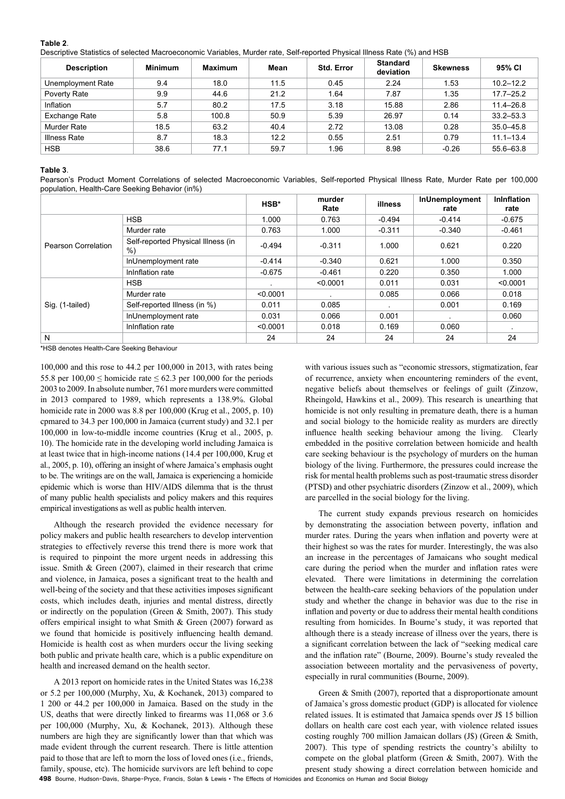### **Table 2**.

Descriptive Statistics of selected Macroeconomic Variables, Murder rate, Self-reported Physical Illness Rate (%) and HSB

| <b>Description</b> | <b>Minimum</b> | <b>Maximum</b> | Mean | <b>Std. Error</b> | <b>Standard</b><br>deviation | <b>Skewness</b> | 95% CI        |
|--------------------|----------------|----------------|------|-------------------|------------------------------|-----------------|---------------|
| Unemployment Rate  | 9.4            | 18.0           | 11.5 | 0.45              | 2.24                         | 1.53            | $10.2 - 12.2$ |
| Poverty Rate       | 9.9            | 44.6           | 21.2 | 1.64              | 7.87                         | 1.35            | $17.7 - 25.2$ |
| Inflation          | 5.7            | 80.2           | 17.5 | 3.18              | 15.88                        | 2.86            | $11.4 - 26.8$ |
| Exchange Rate      | 5.8            | 100.8          | 50.9 | 5.39              | 26.97                        | 0.14            | $33.2 - 53.3$ |
| Murder Rate        | 18.5           | 63.2           | 40.4 | 2.72              | 13.08                        | 0.28            | $35.0 - 45.8$ |
| Illness Rate       | 8.7            | 18.3           | 12.2 | 0.55              | 2.51                         | 0.79            | $11.1 - 13.4$ |
| <b>HSB</b>         | 38.6           | 77.1           | 59.7 | 1.96              | 8.98                         | $-0.26$         | 55.6-63.8     |

#### **Table 3**.

Pearson's Product Moment Correlations of selected Macroeconomic Variables, Self-reported Physical Illness Rate, Murder Rate per 100,000 population, Health-Care Seeking Behavior (in%)

|                     |                                             | HSB*     | murder<br>Rate | illness  | InUnemployment<br>rate | <b>Ininflation</b><br>rate |
|---------------------|---------------------------------------------|----------|----------------|----------|------------------------|----------------------------|
|                     | <b>HSB</b>                                  | 1.000    | 0.763          | $-0.494$ | $-0.414$               | $-0.675$                   |
|                     | Murder rate                                 | 0.763    | 1.000          | $-0.311$ | $-0.340$               | $-0.461$                   |
| Pearson Correlation | Self-reported Physical Illness (in<br>$%$ ) | $-0.494$ | $-0.311$       | 1.000    | 0.621                  | 0.220                      |
|                     | InUnemployment rate                         | $-0.414$ | $-0.340$       | 0.621    | 1.000                  | 0.350                      |
|                     | InInflation rate                            | $-0.675$ | $-0.461$       | 0.220    | 0.350                  | 1.000                      |
|                     | <b>HSB</b>                                  |          | < 0.0001       | 0.011    | 0.031                  | < 0.0001                   |
|                     | Murder rate                                 | < 0.0001 |                | 0.085    | 0.066                  | 0.018                      |
| Sig. (1-tailed)     | Self-reported Illness (in %)                | 0.011    | 0.085          |          | 0.001                  | 0.169                      |
|                     | InUnemployment rate                         | 0.031    | 0.066          | 0.001    |                        | 0.060                      |
|                     | InInflation rate                            | < 0.0001 | 0.018          | 0.169    | 0.060                  |                            |
| N                   |                                             | 24       | 24             | 24       | 24                     | 24                         |

\*HSB denotes Health-Care Seeking Behaviour

100,000 and this rose to 44.2 per 100,000 in 2013, with rates being 55.8 per  $100,00 \le$  homicide rate  $\le$  62.3 per 100,000 for the periods 2003 to 2009. In absolute number, 761 more murders were committed in 2013 compared to 1989, which represents a 138.9%. Global homicide rate in 2000 was 8.8 per 100,000 (Krug et al., 2005, p. 10) cpmared to 34.3 per 100,000 in Jamaica (current study) and 32.1 per 100,000 in low-to-middle income countries (Krug et al., 2005, p. 10). The homicide rate in the developing world including Jamaica is at least twice that in high-income nations (14.4 per 100,000, Krug et al., 2005, p. 10), offering an insight of where Jamaica's emphasis ought to be. The writings are on the wall, Jamaica is experiencing a homicide epidemic which is worse than HIV/AIDS dilemma that is the thrust of many public health specialists and policy makers and this requires empirical investigations as well as public health interven.

Although the research provided the evidence necessary for policy makers and public health researchers to develop intervention strategies to effectively reverse this trend there is more work that is required to pinpoint the more urgent needs in addressing this issue. Smith & Green (2007), claimed in their research that crime and violence, in Jamaica, poses a significant treat to the health and well-being of the society and that these activities imposes significant costs, which includes death, injuries and mental distress, directly or indirectly on the population (Green & Smith, 2007). This study offers empirical insight to what Smith & Green (2007) forward as we found that homicide is positively influencing health demand. Homicide is health cost as when murders occur the living seeking both public and private health care, which is a public expenditure on health and increased demand on the health sector.

A 2013 report on homicide rates in the United States was 16,238 or 5.2 per 100,000 (Murphy, Xu, & Kochanek, 2013) compared to 1 200 or 44.2 per 100,000 in Jamaica. Based on the study in the US, deaths that were directly linked to firearms was 11,068 or 3.6 per 100,000 (Murphy, Xu, & Kochanek, 2013). Although these numbers are high they are significantly lower than that which was made evident through the current research. There is little attention paid to those that are left to morn the loss of loved ones (i.e., friends, family, spouse, etc). The homicide survivors are left behind to cope

with various issues such as "economic stressors, stigmatization, fear of recurrence, anxiety when encountering reminders of the event, negative beliefs about themselves or feelings of guilt (Zinzow, Rheingold, Hawkins et al., 2009). This research is unearthing that homicide is not only resulting in premature death, there is a human and social biology to the homicide reality as murders are directly influence health seeking behaviour among the living. Clearly embedded in the positive correlation between homicide and health care seeking behaviour is the psychology of murders on the human biology of the living. Furthermore, the pressures could increase the risk for mental health problems such as post-traumatic stress disorder (PTSD) and other psychiatric disorders (Zinzow et al., 2009), which are parcelled in the social biology for the living.

The current study expands previous research on homicides by demonstrating the association between poverty, inflation and murder rates. During the years when inflation and poverty were at their highest so was the rates for murder. Interestingly, the was also an increase in the percentages of Jamaicans who sought medical care during the period when the murder and inflation rates were elevated. There were limitations in determining the correlation between the health-care seeking behaviors of the population under study and whether the change in behavior was due to the rise in inflation and poverty or due to address their mental health conditions resulting from homicides. In Bourne's study, it was reported that although there is a steady increase of illness over the years, there is a significant correlation between the lack of "seeking medical care and the inflation rate" (Bourne, 2009). Bourne's study revealed the association betweeen mortality and the pervasiveness of poverty, especially in rural communities (Bourne, 2009).

Green & Smith (2007), reported that a disproportionate amount of Jamaica's gross domestic product (GDP) is allocated for violence related issues. It is estimated that Jamaica spends over J\$ 15 billion dollars on health care cost each year, with violence related issues costing roughly 700 million Jamaican dollars (J\$) (Green & Smith, 2007). This type of spending restricts the country's abililty to compete on the global platform (Green & Smith, 2007). With the present study showing a direct correlation between homicide and

**498** Bourne, Hudson-Davis, Sharpe-Pryce, Francis, Solan & Lewis • The Effects of Homicides and Economics on Human and Social Biology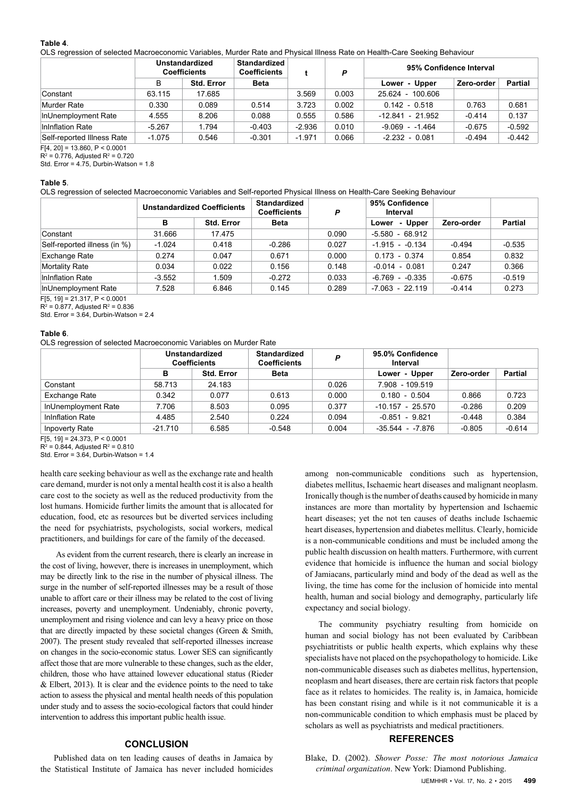#### **Table 4**.

OLS regression of selected Macroeconomic Variables, Murder Rate and Physical Illness Rate on Health-Care Seeking Behaviour

|                            | Unstandardized<br><b>Coefficients</b> |                   | <b>Standardized</b><br><b>Coefficients</b> |          | P     | 95% Confidence Interval |            |          |
|----------------------------|---------------------------------------|-------------------|--------------------------------------------|----------|-------|-------------------------|------------|----------|
|                            | B                                     | <b>Std. Error</b> | <b>Beta</b>                                |          |       | Lower - Upper           | Zero-order | Partial  |
| Constant                   | 63.115                                | 17.685            |                                            | 3.569    | 0.003 | 25.624 - 100.606        |            |          |
| Murder Rate                | 0.330                                 | 0.089             | 0.514                                      | 3.723    | 0.002 | $0.142 - 0.518$         | 0.763      | 0.681    |
| InUnemployment Rate        | 4.555                                 | 8.206             | 0.088                                      | 0.555    | 0.586 | $-12.841 - 21.952$      | $-0.414$   | 0.137    |
| Ininflation Rate           | $-5.267$                              | 1.794             | $-0.403$                                   | $-2.936$ | 0.010 | $-9.069 - 1.464$        | $-0.675$   | $-0.592$ |
| Self-reported Illness Rate | $-1.075$                              | 0.546             | $-0.301$                                   | $-1.971$ | 0.066 | $-2.232 - 0.081$        | $-0.494$   | $-0.442$ |

 $F[4, 20] = 13.860, P < 0.0001$ 

 $R^2$  = 0.776, Adjusted  $R^2$  = 0.720

Std. Error =  $4.75$ , Durbin-Watson = 1.8

#### **Table 5**.

OLS regression of selected Macroeconomic Variables and Self-reported Physical Illness on Health-Care Seeking Behaviour

|                              | <b>Unstandardized Coefficients</b> |                   | <b>Standardized</b><br><b>Coefficients</b><br>P |       | 95% Confidence<br>Interval |            |                |
|------------------------------|------------------------------------|-------------------|-------------------------------------------------|-------|----------------------------|------------|----------------|
|                              | в                                  | <b>Std. Error</b> | <b>Beta</b>                                     |       | - Upper<br>Lower           | Zero-order | <b>Partial</b> |
| Constant                     | 31.666                             | 17.475            |                                                 | 0.090 | $-5.580 - 68.912$          |            |                |
| Self-reported illness (in %) | $-1.024$                           | 0.418             | $-0.286$                                        | 0.027 | $-1.915 - 0.134$           | $-0.494$   | $-0.535$       |
| <b>Exchange Rate</b>         | 0.274                              | 0.047             | 0.671                                           | 0.000 | $0.173 - 0.374$            | 0.854      | 0.832          |
| Mortality Rate               | 0.034                              | 0.022             | 0.156                                           | 0.148 | $-0.014 - 0.081$           | 0.247      | 0.366          |
| InInflation Rate             | $-3.552$                           | 1.509             | $-0.272$                                        | 0.033 | $-6.769 - 0.335$           | $-0.675$   | $-0.519$       |
| InUnemployment Rate          | 7.528                              | 6.846             | 0.145                                           | 0.289 | $-7.063 - 22.119$          | $-0.414$   | 0.273          |

F[5, 19] = 21.317, P < 0.0001

 $R^2$  = 0.877, Adjusted  $R^2$  = 0.836

Std. Error = 3.64, Durbin-Watson = 2.4

#### **Table 6**.

OLS regression of selected Macroeconomic Variables on Murder Rate

|                     | Unstandardized<br><b>Coefficients</b> |                   | <b>Standardized</b><br><b>Coefficients</b> | P     | 95.0% Confidence<br>Interval |            |                |
|---------------------|---------------------------------------|-------------------|--------------------------------------------|-------|------------------------------|------------|----------------|
|                     | в                                     | <b>Std. Error</b> | <b>Beta</b>                                |       | Lower - Upper                | Zero-order | <b>Partial</b> |
| Constant            | 58.713                                | 24.183            |                                            | 0.026 | 7.908 - 109.519              |            |                |
| Exchange Rate       | 0.342                                 | 0.077             | 0.613                                      | 0.000 | $0.180 - 0.504$              | 0.866      | 0.723          |
| InUnemployment Rate | 7.706                                 | 8.503             | 0.095                                      | 0.377 | $-10.157 - 25.570$           | $-0.286$   | 0.209          |
| InInflation Rate    | 4.485                                 | 2.540             | 0.224                                      | 0.094 | $-0.851 - 9.821$             | $-0.448$   | 0.384          |
| Inpoverty Rate      | $-21.710$                             | 6.585             | $-0.548$                                   | 0.004 | $-35.544 - 7.876$            | $-0.805$   | $-0.614$       |

F[5, 19] = 24.373, P < 0.0001

 $R^2$  = 0.844, Adjusted  $R^2$  = 0.810

Std. Error =  $3.64$ , Durbin-Watson =  $1.4$ 

health care seeking behaviour as well as the exchange rate and health care demand, murder is not only a mental health cost it is also a health care cost to the society as well as the reduced productivity from the lost humans. Homicide further limits the amount that is allocated for education, food, etc as resources but be diverted services including the need for psychiatrists, psychologists, social workers, medical practitioners, and buildings for care of the family of the deceased.

 As evident from the current research, there is clearly an increase in the cost of living, however, there is increases in unemployment, which may be directly link to the rise in the number of physical illness. The surge in the number of self-reported illnesses may be a result of those unable to affort care or their illness may be related to the cost of living increases, poverty and unemployment. Undeniably, chronic poverty, unemployment and rising violence and can levy a heavy price on those that are directly impacted by these societal changes (Green & Smith, 2007). The present study revealed that self-reported illnesses increase on changes in the socio-economic status. Lower SES can significantly affect those that are more vulnerable to these changes, such as the elder, children, those who have attained lowever educational status (Rieder & Elbert, 2013). It is clear and the evidence points to the need to take action to assess the physical and mental health needs of this population under study and to assess the socio-ecological factors that could hinder intervention to address this important public health issue.

## **CONCLUSION**

Published data on ten leading causes of deaths in Jamaica by the Statistical Institute of Jamaica has never included homicides among non-communicable conditions such as hypertension, diabetes mellitus, Ischaemic heart diseases and malignant neoplasm. Ironically though is the number of deaths caused by homicide in many instances are more than mortality by hypertension and Ischaemic heart diseases; yet the not ten causes of deaths include Ischaemic heart diseases, hypertension and diabetes mellitus. Clearly, homicide is a non-communicable conditions and must be included among the public health discussion on health matters. Furthermore, with current evidence that homicide is influence the human and social biology of Jamiacans, particularly mind and body of the dead as well as the living, the time has come for the inclusion of homicide into mental health, human and social biology and demography, particularly life expectancy and social biology.

The community psychiatry resulting from homicide on human and social biology has not been evaluated by Caribbean psychiatritists or public health experts, which explains why these specialists have not placed on the psychopathology to homicide. Like non-communicable diseases such as diabetes mellitus, hypertension, neoplasm and heart diseases, there are certain risk factors that people face as it relates to homicides. The reality is, in Jamaica, homicide has been constant rising and while is it not communicable it is a non-communicable condition to which emphasis must be placed by scholars as well as psychiatrists and medical practitioners.

## **REFERENCES**

Blake, D. (2002). *Shower Posse: The most notorious Jamaica criminal organization*. New York: Diamond Publishing.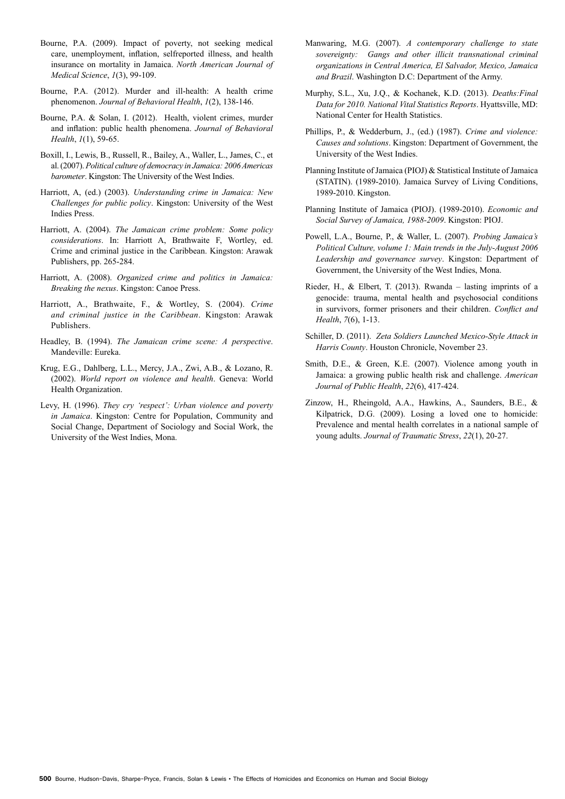- Bourne, P.A. (2009). Impact of poverty, not seeking medical care, unemployment, inflation, selfreported illness, and health insurance on mortality in Jamaica. *North American Journal of Medical Science*, *1*(3), 99-109.
- Bourne, P.A. (2012). Murder and ill-health: A health crime phenomenon. *Journal of Behavioral Health*, *1*(2), 138-146.
- Bourne, P.A. & Solan, I. (2012). Health, violent crimes, murder and inflation: public health phenomena. *Journal of Behavioral Health*, *1*(1), 59-65.
- Boxill, I., Lewis, B., Russell, R., Bailey, A., Waller, L., James, C., et al. (2007). *Political culture of democracy in Jamaica: 2006 Americas barometer*. Kingston: The University of the West Indies.
- Harriott, A, (ed.) (2003). *Understanding crime in Jamaica: New Challenges for public policy*. Kingston: University of the West Indies Press.
- Harriott, A. (2004). *The Jamaican crime problem: Some policy considerations*. In: Harriott A, Brathwaite F, Wortley, ed. Crime and criminal justice in the Caribbean. Kingston: Arawak Publishers, pp. 265-284.
- Harriott, A. (2008). *Organized crime and politics in Jamaica: Breaking the nexus*. Kingston: Canoe Press.
- Harriott, A., Brathwaite, F., & Wortley, S. (2004). *Crime and criminal justice in the Caribbean*. Kingston: Arawak Publishers.
- Headley, B. (1994). *The Jamaican crime scene: A perspective*. Mandeville: Eureka.
- Krug, E.G., Dahlberg, L.L., Mercy, J.A., Zwi, A.B., & Lozano, R. (2002). *World report on violence and health*. Geneva: World Health Organization.
- Levy, H. (1996). *They cry 'respect': Urban violence and poverty in Jamaica*. Kingston: Centre for Population, Community and Social Change, Department of Sociology and Social Work, the University of the West Indies, Mona.
- Manwaring, M.G. (2007). *A contemporary challenge to state sovereignty: Gangs and other illicit transnational criminal organizations in Central America, El Salvador, Mexico, Jamaica and Brazil*. Washington D.C: Department of the Army.
- Murphy, S.L., Xu, J.Q., & Kochanek, K.D. (2013). *Deaths:Final Data for 2010. National Vital Statistics Reports*. Hyattsville, MD: National Center for Health Statistics.
- Phillips, P., & Wedderburn, J., (ed.) (1987). *Crime and violence: Causes and solutions*. Kingston: Department of Government, the University of the West Indies.
- Planning Institute of Jamaica (PIOJ) & Statistical Institute of Jamaica (STATIN). (1989-2010). Jamaica Survey of Living Conditions, 1989-2010. Kingston.
- Planning Institute of Jamaica (PIOJ). (1989-2010). *Economic and Social Survey of Jamaica, 1988-2009*. Kingston: PIOJ.
- Powell, L.A., Bourne, P., & Waller, L. (2007). *Probing Jamaica's Political Culture, volume 1: Main trends in the July-August 2006 Leadership and governance survey*. Kingston: Department of Government, the University of the West Indies, Mona.
- Rieder, H., & Elbert, T. (2013). Rwanda lasting imprints of a genocide: trauma, mental health and psychosocial conditions in survivors, former prisoners and their children. *Conflict and Health*, *7*(6), 1-13.
- Schiller, D. (2011). *Zeta Soldiers Launched Mexico-Style Attack in Harris County*. Houston Chronicle, November 23.
- Smith, D.E., & Green, K.E. (2007). Violence among youth in Jamaica: a growing public health risk and challenge. *American Journal of Public Health*, *22*(6), 417-424.
- Zinzow, H., Rheingold, A.A., Hawkins, A., Saunders, B.E., & Kilpatrick, D.G. (2009). Losing a loved one to homicide: Prevalence and mental health correlates in a national sample of young adults. *Journal of Traumatic Stress*, *22*(1), 20-27.